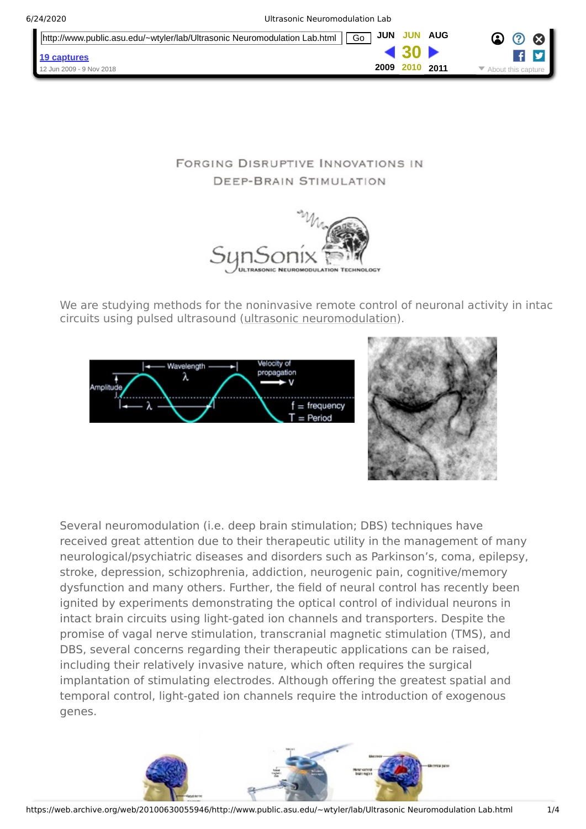

## FORGING DISRUPTIVE INNOVATIONS IN **DEEP-BRAIN STIMULATION**



We are studying methods for the noninvasive remote control of neuronal activity in intac circuits using pulsed ultrasound (ultrasonic neuromodulation).



Several neuromodulation (i.e. deep brain stimulation; DBS) techniques have received great attention due to their therapeutic utility in the management of many neurological/psychiatric diseases and disorders such as Parkinson's, coma, epilepsy, stroke, depression, schizophrenia, addiction, neurogenic pain, cognitive/memory dysfunction and many others. Further, the field of neural control has recently been ignited by experiments demonstrating the optical control of individual neurons in intact brain circuits using light-gated ion channels and transporters. Despite the promise of vagal nerve stimulation, transcranial magnetic stimulation (TMS), and DBS, several concerns regarding their therapeutic applications can be raised, including their relatively invasive nature, which often requires the surgical implantation of stimulating electrodes. Although offering the greatest spatial and temporal control, light-gated ion channels require the introduction of exogenous genes.

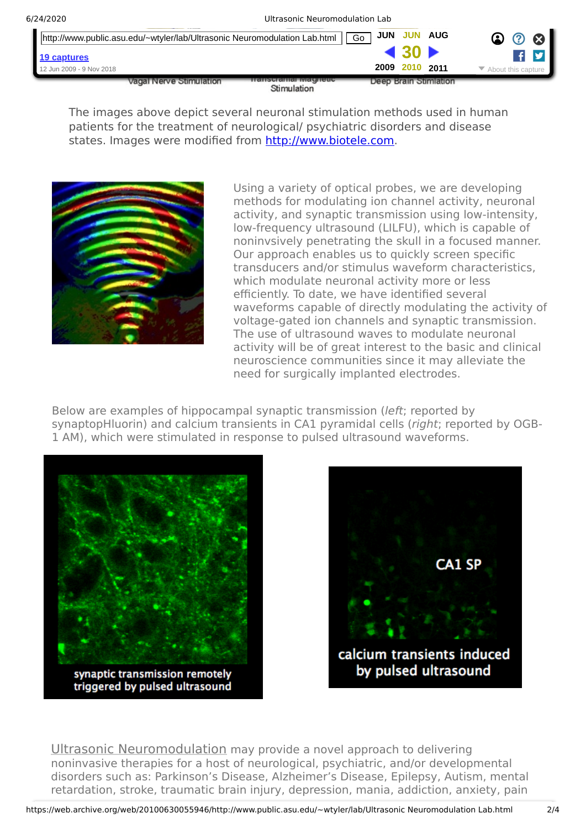

The images above depict several neuronal stimulation methods used in human patients for the treatment of neurological/ psychiatric disorders and disease states. Images were modified from [http://www.biotele.com](https://web.archive.org/web/20100630055946/http://www.biotele.com/).



Using a variety of optical probes, we are developing methods for modulating ion channel activity, neuronal activity, and synaptic transmission using low-intensity, low-frequency ultrasound (LILFU), which is capable of noninvsively penetrating the skull in a focused manner. Our approach enables us to quickly screen specific transducers and/or stimulus waveform characteristics, which modulate neuronal activity more or less efficiently. To date, we have identified several waveforms capable of directly modulating the activity of voltage-gated ion channels and synaptic transmission. The use of ultrasound waves to modulate neuronal activity will be of great interest to the basic and clinical neuroscience communities since it may alleviate the need for surgically implanted electrodes.

Below are examples of hippocampal synaptic transmission (left; reported by synaptopHluorin) and calcium transients in CA1 pyramidal cells (right; reported by OGB-1 AM), which were stimulated in response to pulsed ultrasound waveforms.



CA1 SP calcium transients induced by pulsed ultrasound

Ultrasonic Neuromodulation may provide a novel approach to delivering noninvasive therapies for a host of neurological, psychiatric, and/or developmental disorders such as: Parkinson's Disease, Alzheimer's Disease, Epilepsy, Autism, mental retardation, stroke, traumatic brain injury, depression, mania, addiction, anxiety, pain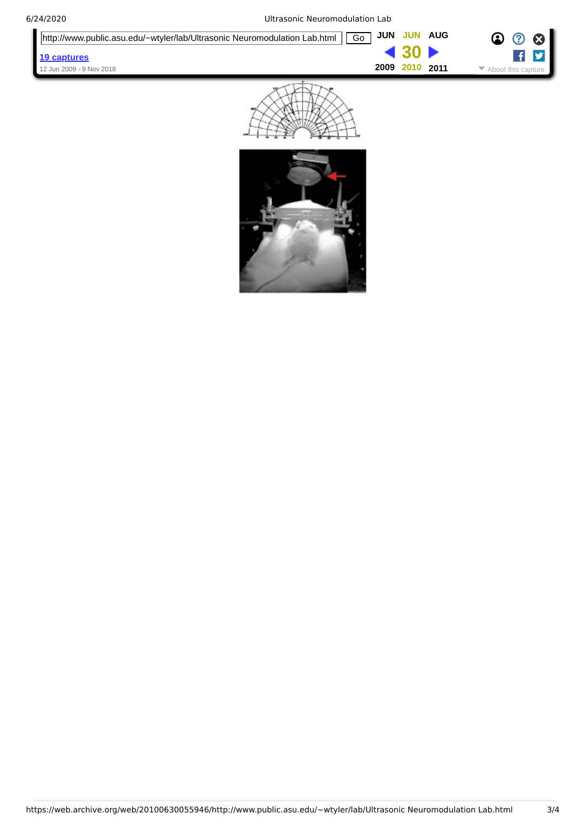6/24/2020 Ultrasonic Neuromodulation Lab